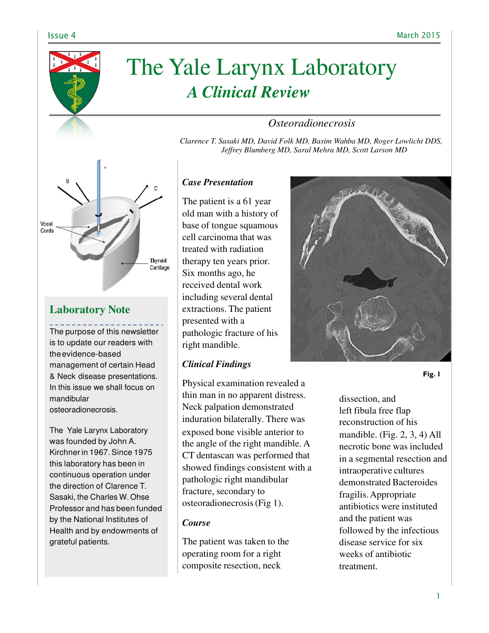

# The Yale Larynx Laboratory *A Clinical Review*

## *Osteoradionecrosis*

*Clarence T. Sasaki MD, David Folk MD, Basim Wahba MD, Roger Lowlicht DDS, Jeffrey Blumberg MD, Saral Mehra MD, Scott Larson MD*



# **Laboratory Note**

The purpose of this newsletter is to update our readers with the evidence-based management of certain Head & Neck disease presentations. In this issue we shall focus on mandibular osteoradionecrosis.

The Yale Larynx Laboratory was founded by John A. Kirchner in 1967. Since 1975 this laboratory has been in continuous operation under the direction of Clarence T. Sasaki, the Charles W. Ohse Professor and has been funded by the National Institutes of Health and by endowments of grateful patients.

## *Case Presentation*

The patient is a 61 year old man with a history of base of tongue squamous cell carcinoma that was treated with radiation therapy ten years prior. Six months ago, he received dental work including several dental extractions. The patient presented with a pathologic fracture of his right mandible.

## *Clinical Findings*

Physical examination revealed a thin man in no apparent distress. Neck palpation demonstrated induration bilaterally. There was exposed bone visible anterior to the angle of the right mandible. A CT dentascan was performed that showed findings consistent with a pathologic right mandibular fracture, secondary to osteoradionecrosis (Fig 1).

## *Course*

The patient was taken to the operating room for a right composite resection, neck



**Fig. 1**

dissection, and left fibula free flap reconstruction of his mandible. (Fig. 2, 3, 4) All necrotic bone was included in a segmental resection and intraoperative cultures demonstrated Bacteroides fragilis. Appropriate antibiotics were instituted and the patient was followed by the infectious disease service for six weeks of antibiotic treatment.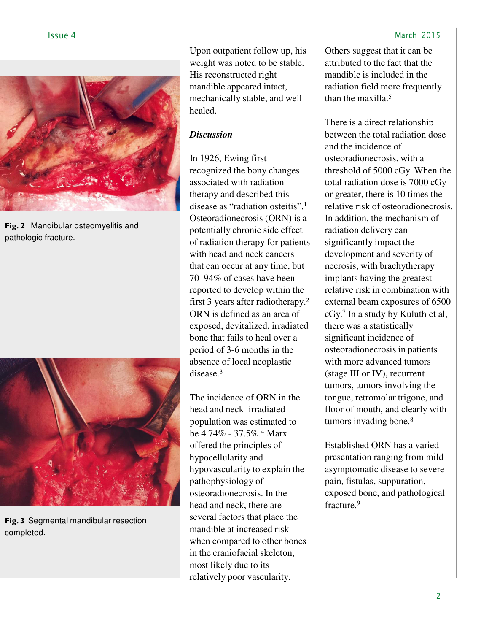

**Fig. 2** Mandibular osteomyelitis and pathologic fracture.



**Fig. 3** Segmental mandibular resection completed.

Upon outpatient follow up, his weight was noted to be stable. His reconstructed right mandible appeared intact, mechanically stable, and well healed.

## *Discussion*

In 1926, Ewing first recognized the bony changes associated with radiation therapy and described this disease as "radiation osteitis".<sup>1</sup> Osteoradionecrosis (ORN) is a potentially chronic side effect of radiation therapy for patients with head and neck cancers that can occur at any time, but 70–94% of cases have been reported to develop within the first 3 years after radiotherapy.<sup>2</sup> ORN is defined as an area of exposed, devitalized, irradiated bone that fails to heal over a period of 3-6 months in the absence of local neoplastic disease.<sup>3</sup>

The incidence of ORN in the head and neck–irradiated population was estimated to be  $4.74\%$  - 37.5%.<sup>4</sup> Marx offered the principles of hypocellularity and hypovascularity to explain the pathophysiology of osteoradionecrosis. In the head and neck, there are several factors that place the mandible at increased risk when compared to other bones in the craniofacial skeleton, most likely due to its relatively poor vascularity.

Others suggest that it can be attributed to the fact that the mandible is included in the radiation field more frequently than the maxilla.<sup>5</sup>

There is a direct relationship between the total radiation dose and the incidence of osteoradionecrosis, with a threshold of 5000 cGy. When the total radiation dose is 7000 cGy or greater, there is 10 times the relative risk of osteoradionecrosis. In addition, the mechanism of radiation delivery can significantly impact the development and severity of necrosis, with brachytherapy implants having the greatest relative risk in combination with external beam exposures of 6500 cGy.<sup>7</sup>In a study by Kuluth et al, there was a statistically significant incidence of osteoradionecrosis in patients with more advanced tumors (stage III or IV), recurrent tumors, tumors involving the tongue, retromolar trigone, and floor of mouth, and clearly with tumors invading bone.<sup>8</sup>

Established ORN has a varied presentation ranging from mild asymptomatic disease to severe pain, fistulas, suppuration, exposed bone, and pathological fracture.<sup>9</sup>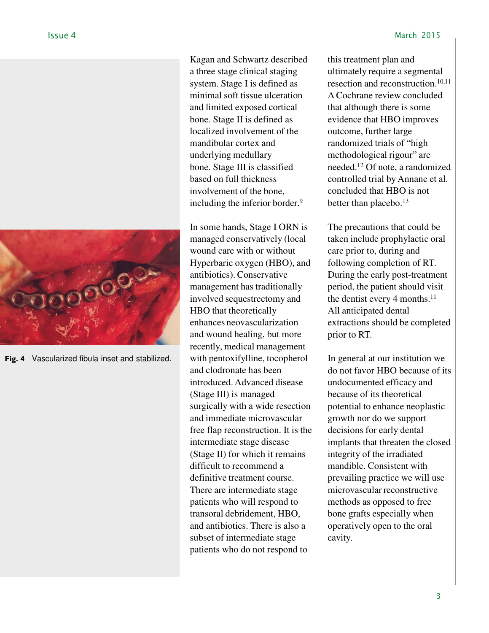

**Fig. 4** Vascularized fibula inset and stabilized.

Kagan and Schwartz described a three stage clinical staging system. Stage I is defined as minimal soft tissue ulceration and limited exposed cortical bone. Stage II is defined as localized involvement of the mandibular cortex and underlying medullary bone. Stage III is classified based on full thickness involvement of the bone, including the inferior border.<sup>9</sup>

In some hands, Stage I ORN is managed conservatively (local wound care with or without Hyperbaric oxygen (HBO), and antibiotics). Conservative management has traditionally involved sequestrectomy and HBO that theoretically enhances neovascularization and wound healing, but more recently, medical management with pentoxifylline, tocopherol and clodronate has been introduced. Advanced disease (Stage III) is managed surgically with a wide resection and immediate microvascular free flap reconstruction. It is the intermediate stage disease (Stage II) for which it remains difficult to recommend a definitive treatment course. There are intermediate stage patients who will respond to transoral debridement, HBO, and antibiotics. There is also a subset of intermediate stage patients who do not respond to

this treatment plan and ultimately require a segmental resection and reconstruction.10,11 A Cochrane review concluded that although there is some evidence that HBO improves outcome, further large randomized trials of "high methodological rigour" are needed.<sup>12</sup> Of note, a randomized controlled trial by Annane et al. concluded that HBO is not better than placebo.<sup>13</sup>

The precautions that could be taken include prophylactic oral care prior to, during and following completion of RT. During the early post-treatment period, the patient should visit the dentist every 4 months.<sup>11</sup> All anticipated dental extractions should be completed prior to RT.

In general at our institution we do not favor HBO because of its undocumented efficacy and because of its theoretical potential to enhance neoplastic growth nor do we support decisions for early dental implants that threaten the closed integrity of the irradiated mandible. Consistent with prevailing practice we will use microvascular reconstructive methods as opposed to free bone grafts especially when operatively open to the oral cavity.